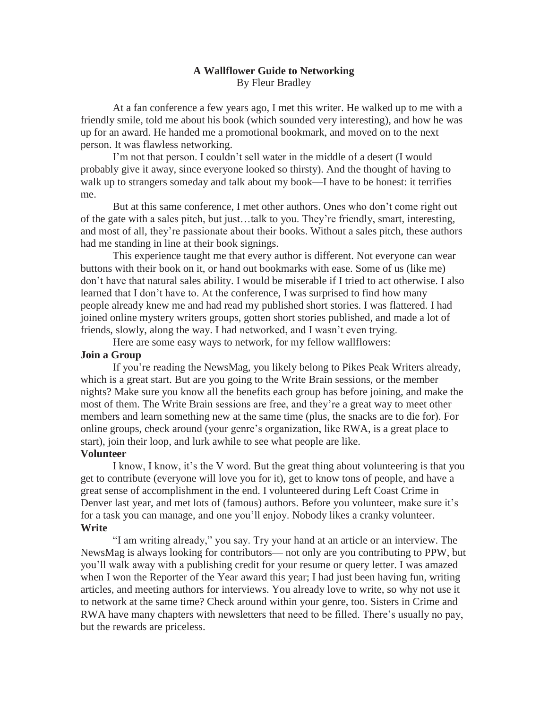# **A Wallflower Guide to Networking** By Fleur Bradley

At a fan conference a few years ago, I met this writer. He walked up to me with a friendly smile, told me about his book (which sounded very interesting), and how he was up for an award. He handed me a promotional bookmark, and moved on to the next person. It was flawless networking.

I'm not that person. I couldn't sell water in the middle of a desert (I would probably give it away, since everyone looked so thirsty). And the thought of having to walk up to strangers someday and talk about my book—I have to be honest: it terrifies me.

But at this same conference, I met other authors. Ones who don't come right out of the gate with a sales pitch, but just…talk to you. They're friendly, smart, interesting, and most of all, they're passionate about their books. Without a sales pitch, these authors had me standing in line at their book signings.

This experience taught me that every author is different. Not everyone can wear buttons with their book on it, or hand out bookmarks with ease. Some of us (like me) don't have that natural sales ability. I would be miserable if I tried to act otherwise. I also learned that I don't have to. At the conference, I was surprised to find how many people already knew me and had read my published short stories. I was flattered. I had joined online mystery writers groups, gotten short stories published, and made a lot of friends, slowly, along the way. I had networked, and I wasn't even trying.

Here are some easy ways to network, for my fellow wallflowers:

## **Join a Group**

If you're reading the NewsMag, you likely belong to Pikes Peak Writers already, which is a great start. But are you going to the Write Brain sessions, or the member nights? Make sure you know all the benefits each group has before joining, and make the most of them. The Write Brain sessions are free, and they're a great way to meet other members and learn something new at the same time (plus, the snacks are to die for). For online groups, check around (your genre's organization, like RWA, is a great place to start), join their loop, and lurk awhile to see what people are like.

# **Volunteer**

I know, I know, it's the V word. But the great thing about volunteering is that you get to contribute (everyone will love you for it), get to know tons of people, and have a great sense of accomplishment in the end. I volunteered during Left Coast Crime in Denver last year, and met lots of (famous) authors. Before you volunteer, make sure it's for a task you can manage, and one you'll enjoy. Nobody likes a cranky volunteer. **Write**

"I am writing already," you say. Try your hand at an article or an interview. The NewsMag is always looking for contributors— not only are you contributing to PPW, but you'll walk away with a publishing credit for your resume or query letter. I was amazed when I won the Reporter of the Year award this year; I had just been having fun, writing articles, and meeting authors for interviews. You already love to write, so why not use it to network at the same time? Check around within your genre, too. Sisters in Crime and RWA have many chapters with newsletters that need to be filled. There's usually no pay, but the rewards are priceless.